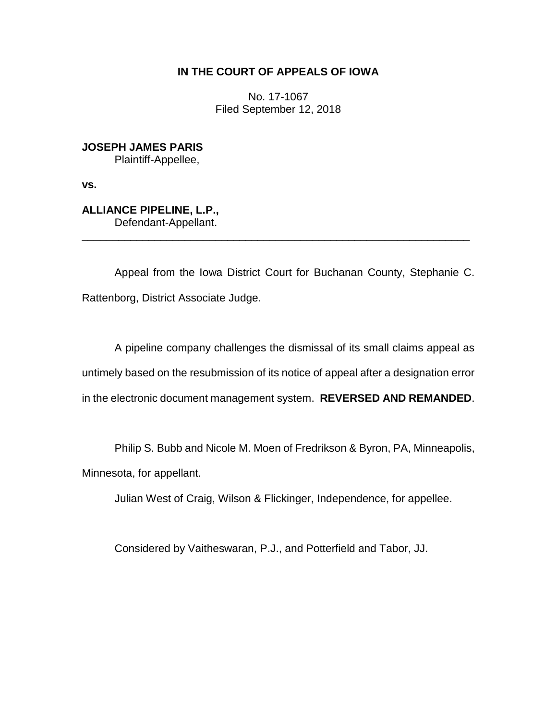## **IN THE COURT OF APPEALS OF IOWA**

No. 17-1067 Filed September 12, 2018

**JOSEPH JAMES PARIS** Plaintiff-Appellee,

**vs.**

**ALLIANCE PIPELINE, L.P.,** Defendant-Appellant.

Appeal from the Iowa District Court for Buchanan County, Stephanie C. Rattenborg, District Associate Judge.

\_\_\_\_\_\_\_\_\_\_\_\_\_\_\_\_\_\_\_\_\_\_\_\_\_\_\_\_\_\_\_\_\_\_\_\_\_\_\_\_\_\_\_\_\_\_\_\_\_\_\_\_\_\_\_\_\_\_\_\_\_\_\_\_

A pipeline company challenges the dismissal of its small claims appeal as untimely based on the resubmission of its notice of appeal after a designation error in the electronic document management system. **REVERSED AND REMANDED**.

Philip S. Bubb and Nicole M. Moen of Fredrikson & Byron, PA, Minneapolis, Minnesota, for appellant.

Julian West of Craig, Wilson & Flickinger, Independence, for appellee.

Considered by Vaitheswaran, P.J., and Potterfield and Tabor, JJ.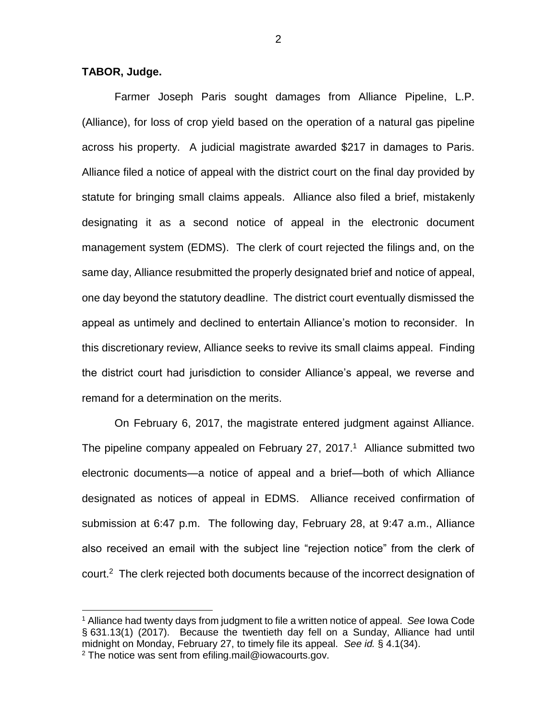## **TABOR, Judge.**

 $\overline{a}$ 

Farmer Joseph Paris sought damages from Alliance Pipeline, L.P. (Alliance), for loss of crop yield based on the operation of a natural gas pipeline across his property. A judicial magistrate awarded \$217 in damages to Paris. Alliance filed a notice of appeal with the district court on the final day provided by statute for bringing small claims appeals. Alliance also filed a brief, mistakenly designating it as a second notice of appeal in the electronic document management system (EDMS). The clerk of court rejected the filings and, on the same day, Alliance resubmitted the properly designated brief and notice of appeal, one day beyond the statutory deadline. The district court eventually dismissed the appeal as untimely and declined to entertain Alliance's motion to reconsider. In this discretionary review, Alliance seeks to revive its small claims appeal. Finding the district court had jurisdiction to consider Alliance's appeal, we reverse and remand for a determination on the merits.

On February 6, 2017, the magistrate entered judgment against Alliance. The pipeline company appealed on February 27, 2017.<sup>1</sup> Alliance submitted two electronic documents—a notice of appeal and a brief—both of which Alliance designated as notices of appeal in EDMS. Alliance received confirmation of submission at 6:47 p.m. The following day, February 28, at 9:47 a.m., Alliance also received an email with the subject line "rejection notice" from the clerk of court.<sup>2</sup> The clerk rejected both documents because of the incorrect designation of

<sup>1</sup> Alliance had twenty days from judgment to file a written notice of appeal. *See* Iowa Code § 631.13(1) (2017). Because the twentieth day fell on a Sunday, Alliance had until midnight on Monday, February 27, to timely file its appeal. *See id.* § 4.1(34). <sup>2</sup> The notice was sent from efiling.mail@iowacourts.gov.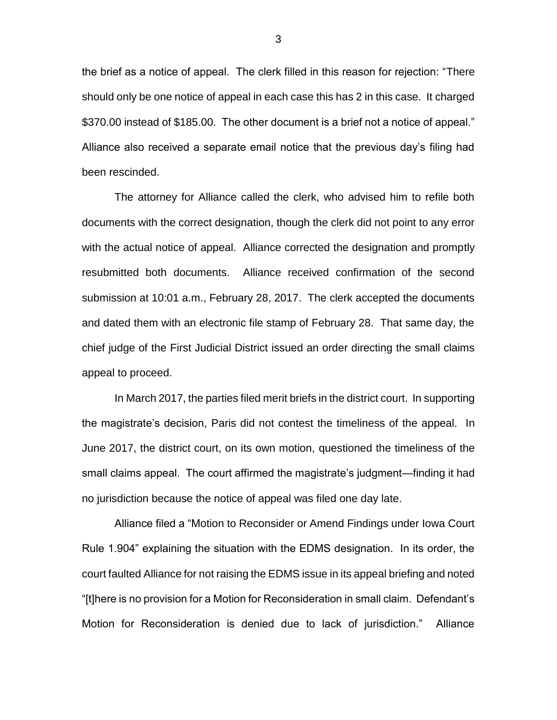the brief as a notice of appeal. The clerk filled in this reason for rejection: "There should only be one notice of appeal in each case this has 2 in this case. It charged \$370.00 instead of \$185.00. The other document is a brief not a notice of appeal." Alliance also received a separate email notice that the previous day's filing had been rescinded.

The attorney for Alliance called the clerk, who advised him to refile both documents with the correct designation, though the clerk did not point to any error with the actual notice of appeal. Alliance corrected the designation and promptly resubmitted both documents. Alliance received confirmation of the second submission at 10:01 a.m., February 28, 2017. The clerk accepted the documents and dated them with an electronic file stamp of February 28. That same day, the chief judge of the First Judicial District issued an order directing the small claims appeal to proceed.

In March 2017, the parties filed merit briefs in the district court. In supporting the magistrate's decision, Paris did not contest the timeliness of the appeal. In June 2017, the district court, on its own motion, questioned the timeliness of the small claims appeal. The court affirmed the magistrate's judgment—finding it had no jurisdiction because the notice of appeal was filed one day late.

Alliance filed a "Motion to Reconsider or Amend Findings under Iowa Court Rule 1.904" explaining the situation with the EDMS designation. In its order, the court faulted Alliance for not raising the EDMS issue in its appeal briefing and noted "[t]here is no provision for a Motion for Reconsideration in small claim. Defendant's Motion for Reconsideration is denied due to lack of jurisdiction." Alliance